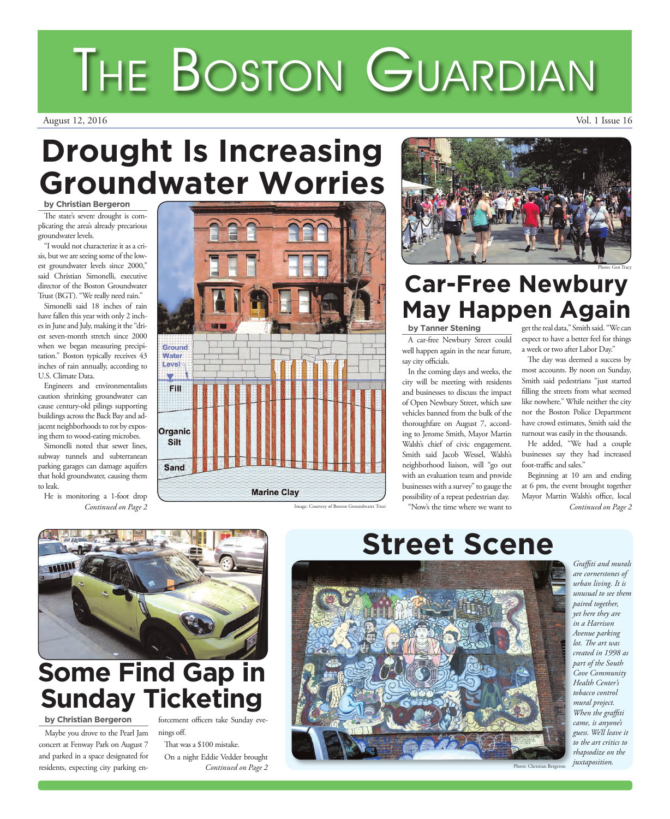## **Drought Is Increasing Groundwater Worries**

## **by Christian Bergeron**

The state's severe drought is complicating the area's already precarious groundwater levels.

"I would not characterize it as a crisis, but we are seeing some of the lowest groundwater levels since 2000,'' said Christian Simonelli, executive director of the Boston Groundwater Trust (BGT). "We really need rain."

Simonelli said 18 inches of rain have fallen this year with only 2 inches in June and July, making it the "driest seven-month stretch since 2000 when we began measuring precipitation." Boston typically receives 43 inches of rain annually, according to U.S. Climate Data.

Engineers and environmentalists caution shrinking groundwater can cause century-old pilings supporting buildings across the Back Bay and adjacent neighborhoods to rot by exposing them to wood-eating microbes.

Simonelli noted that sewer lines, subway tunnels and subterranean parking garages can damage aquifers that hold groundwater, causing them to leak.

He is monitoring a 1-foot drop *Continued on Page 2*



Image: Courtesy of Boston Groundwater Trust